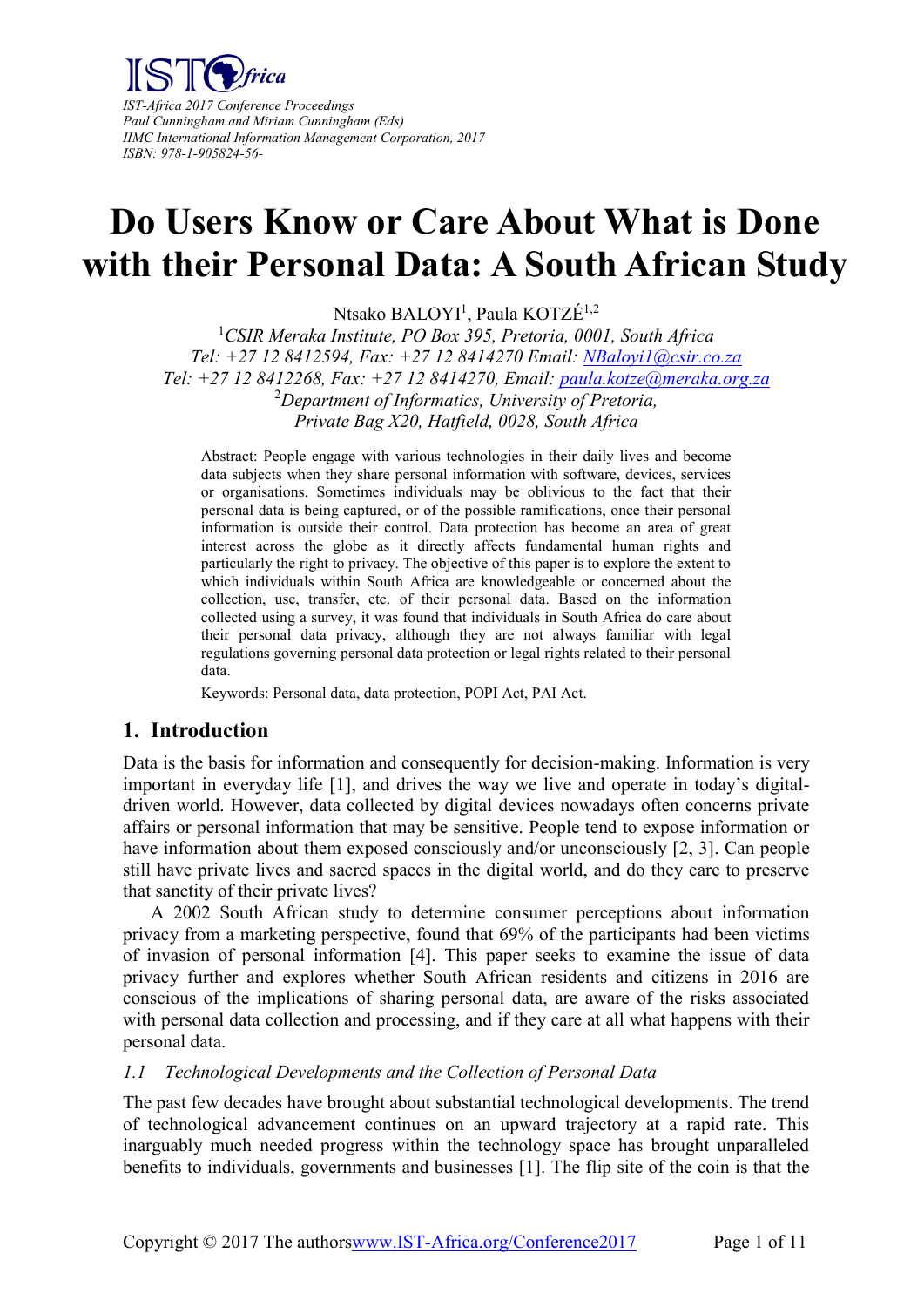

# **Do Users Know or Care About What is Done with their Personal Data: A South African Study**

Ntsako BALOYI<sup>1</sup>, Paula KOTZÉ<sup>1,2</sup>

<sup>1</sup>*CSIR Meraka Institute, PO Box 395, Pretoria, 0001, South Africa Tel: +27 12 8412594, Fax: +27 12 8414270 Email: [NBaloyi1@csir.co.za](mailto:NBaloyi1@csir.co.za) Tel: +27 12 8412268, Fax: +27 12 8414270, Email: [paula.kotze@meraka.org.za](mailto:PKotze1@csir.co.za)* <sup>2</sup>*Department of Informatics, University of Pretoria, Private Bag X20, Hatfield, 0028, South Africa*

Abstract: People engage with various technologies in their daily lives and become data subjects when they share personal information with software, devices, services or organisations. Sometimes individuals may be oblivious to the fact that their personal data is being captured, or of the possible ramifications, once their personal information is outside their control. Data protection has become an area of great interest across the globe as it directly affects fundamental human rights and particularly the right to privacy. The objective of this paper is to explore the extent to which individuals within South Africa are knowledgeable or concerned about the collection, use, transfer, etc. of their personal data. Based on the information collected using a survey, it was found that individuals in South Africa do care about their personal data privacy, although they are not always familiar with legal regulations governing personal data protection or legal rights related to their personal data.

Keywords: Personal data, data protection, POPI Act, PAI Act.

## **1. Introduction**

Data is the basis for information and consequently for decision-making. Information is very important in everyday life [1], and drives the way we live and operate in today's digitaldriven world. However, data collected by digital devices nowadays often concerns private affairs or personal information that may be sensitive. People tend to expose information or have information about them exposed consciously and/or unconsciously [2, 3]. Can people still have private lives and sacred spaces in the digital world, and do they care to preserve that sanctity of their private lives?

A 2002 South African study to determine consumer perceptions about information privacy from a marketing perspective, found that 69% of the participants had been victims of invasion of personal information [4]. This paper seeks to examine the issue of data privacy further and explores whether South African residents and citizens in 2016 are conscious of the implications of sharing personal data, are aware of the risks associated with personal data collection and processing, and if they care at all what happens with their personal data.

## *1.1 Technological Developments and the Collection of Personal Data*

The past few decades have brought about substantial technological developments. The trend of technological advancement continues on an upward trajectory at a rapid rate. This inarguably much needed progress within the technology space has brought unparalleled benefits to individuals, governments and businesses [1]. The flip site of the coin is that the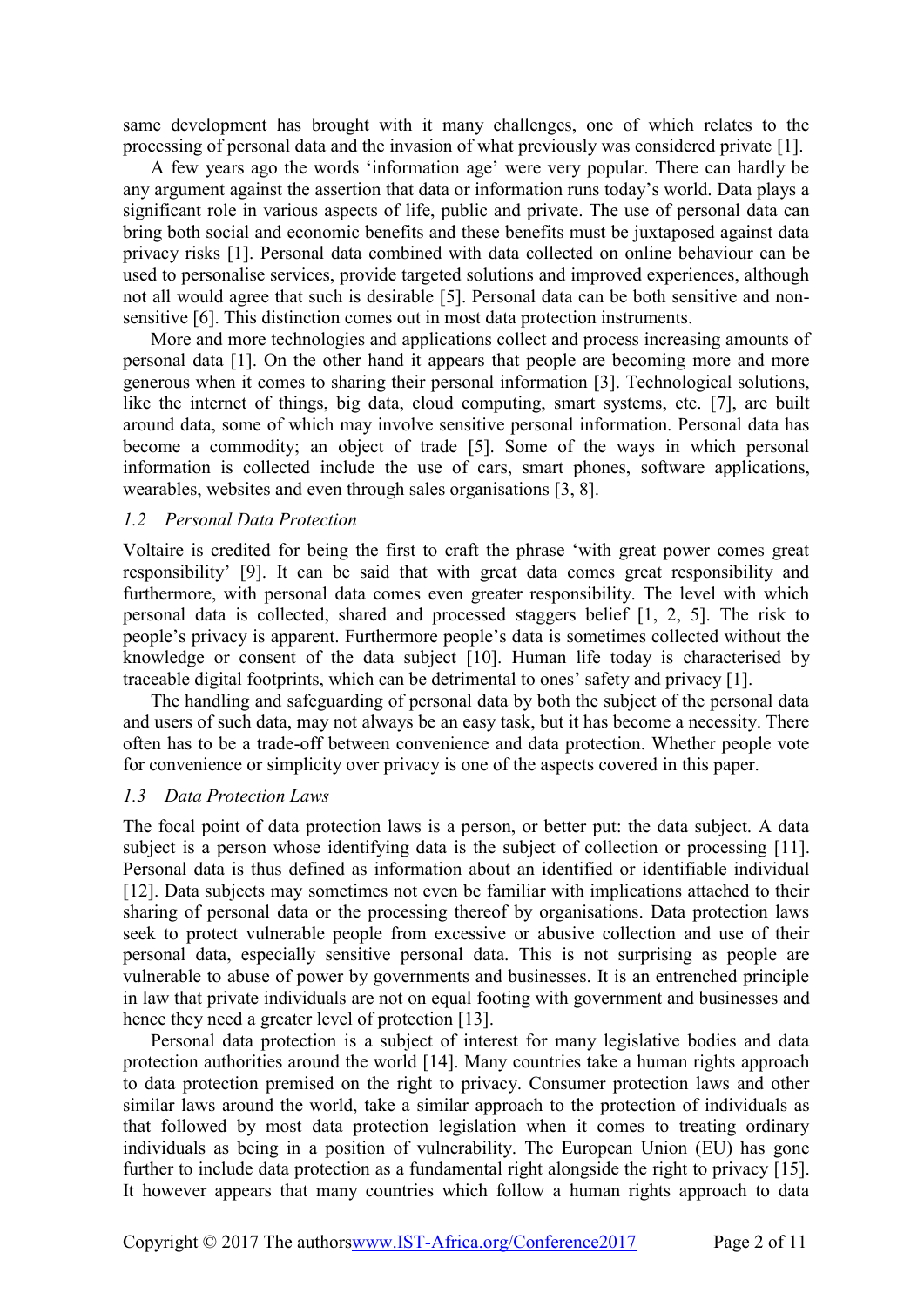same development has brought with it many challenges, one of which relates to the processing of personal data and the invasion of what previously was considered private [1].

A few years ago the words 'information age' were very popular. There can hardly be any argument against the assertion that data or information runs today's world. Data plays a significant role in various aspects of life, public and private. The use of personal data can bring both social and economic benefits and these benefits must be juxtaposed against data privacy risks [1]. Personal data combined with data collected on online behaviour can be used to personalise services, provide targeted solutions and improved experiences, although not all would agree that such is desirable [5]. Personal data can be both sensitive and nonsensitive [6]. This distinction comes out in most data protection instruments.

More and more technologies and applications collect and process increasing amounts of personal data [1]. On the other hand it appears that people are becoming more and more generous when it comes to sharing their personal information [3]. Technological solutions, like the internet of things, big data, cloud computing, smart systems, etc. [7], are built around data, some of which may involve sensitive personal information. Personal data has become a commodity; an object of trade [5]. Some of the ways in which personal information is collected include the use of cars, smart phones, software applications, wearables, websites and even through sales organisations [3, 8].

#### *1.2 Personal Data Protection*

Voltaire is credited for being the first to craft the phrase 'with great power comes great responsibility' [9]. It can be said that with great data comes great responsibility and furthermore, with personal data comes even greater responsibility. The level with which personal data is collected, shared and processed staggers belief [1, 2, 5]. The risk to people's privacy is apparent. Furthermore people's data is sometimes collected without the knowledge or consent of the data subject [10]. Human life today is characterised by traceable digital footprints, which can be detrimental to ones' safety and privacy [1].

The handling and safeguarding of personal data by both the subject of the personal data and users of such data, may not always be an easy task, but it has become a necessity. There often has to be a trade-off between convenience and data protection. Whether people vote for convenience or simplicity over privacy is one of the aspects covered in this paper.

#### *1.3 Data Protection Laws*

The focal point of data protection laws is a person, or better put: the data subject. A data subject is a person whose identifying data is the subject of collection or processing [11]. Personal data is thus defined as information about an identified or identifiable individual [12]. Data subjects may sometimes not even be familiar with implications attached to their sharing of personal data or the processing thereof by organisations. Data protection laws seek to protect vulnerable people from excessive or abusive collection and use of their personal data, especially sensitive personal data. This is not surprising as people are vulnerable to abuse of power by governments and businesses. It is an entrenched principle in law that private individuals are not on equal footing with government and businesses and hence they need a greater level of protection [13].

Personal data protection is a subject of interest for many legislative bodies and data protection authorities around the world [14]. Many countries take a human rights approach to data protection premised on the right to privacy. Consumer protection laws and other similar laws around the world, take a similar approach to the protection of individuals as that followed by most data protection legislation when it comes to treating ordinary individuals as being in a position of vulnerability. The European Union (EU) has gone further to include data protection as a fundamental right alongside the right to privacy [15]. It however appears that many countries which follow a human rights approach to data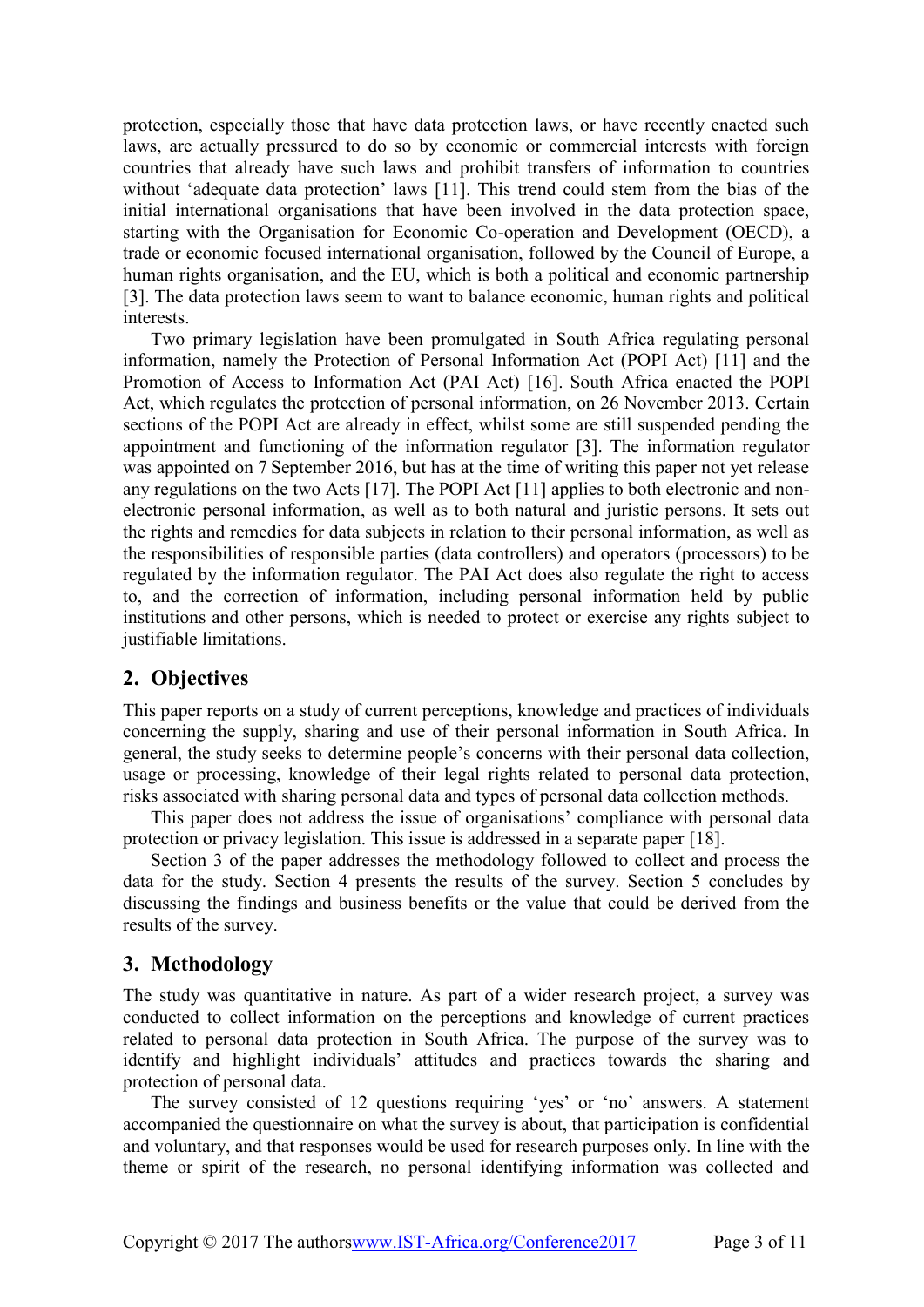protection, especially those that have data protection laws, or have recently enacted such laws, are actually pressured to do so by economic or commercial interests with foreign countries that already have such laws and prohibit transfers of information to countries without 'adequate data protection' laws [11]. This trend could stem from the bias of the initial international organisations that have been involved in the data protection space, starting with the Organisation for Economic Co-operation and Development (OECD), a trade or economic focused international organisation, followed by the Council of Europe, a human rights organisation, and the EU, which is both a political and economic partnership [3]. The data protection laws seem to want to balance economic, human rights and political interests.

Two primary legislation have been promulgated in South Africa regulating personal information, namely the Protection of Personal Information Act (POPI Act) [11] and the Promotion of Access to Information Act (PAI Act) [16]. South Africa enacted the POPI Act, which regulates the protection of personal information, on 26 November 2013. Certain sections of the POPI Act are already in effect, whilst some are still suspended pending the appointment and functioning of the information regulator [3]. The information regulator was appointed on 7 September 2016, but has at the time of writing this paper not yet release any regulations on the two Acts [17]. The POPI Act [11] applies to both electronic and nonelectronic personal information, as well as to both natural and juristic persons. It sets out the rights and remedies for data subjects in relation to their personal information, as well as the responsibilities of responsible parties (data controllers) and operators (processors) to be regulated by the information regulator. The PAI Act does also regulate the right to access to, and the correction of information, including personal information held by public institutions and other persons, which is needed to protect or exercise any rights subject to justifiable limitations.

# **2. Objectives**

This paper reports on a study of current perceptions, knowledge and practices of individuals concerning the supply, sharing and use of their personal information in South Africa. In general, the study seeks to determine people's concerns with their personal data collection, usage or processing, knowledge of their legal rights related to personal data protection, risks associated with sharing personal data and types of personal data collection methods.

This paper does not address the issue of organisations' compliance with personal data protection or privacy legislation. This issue is addressed in a separate paper [18].

Section [3](#page-2-0) of the paper addresses the methodology followed to collect and process the data for the study. Section [4](#page-3-0) presents the results of the survey. Section [5](#page-8-0) concludes by discussing the findings and business benefits or the value that could be derived from the results of the survey.

# <span id="page-2-0"></span>**3. Methodology**

The study was quantitative in nature. As part of a wider research project, a survey was conducted to collect information on the perceptions and knowledge of current practices related to personal data protection in South Africa. The purpose of the survey was to identify and highlight individuals' attitudes and practices towards the sharing and protection of personal data.

The survey consisted of 12 questions requiring 'yes' or 'no' answers. A statement accompanied the questionnaire on what the survey is about, that participation is confidential and voluntary, and that responses would be used for research purposes only. In line with the theme or spirit of the research, no personal identifying information was collected and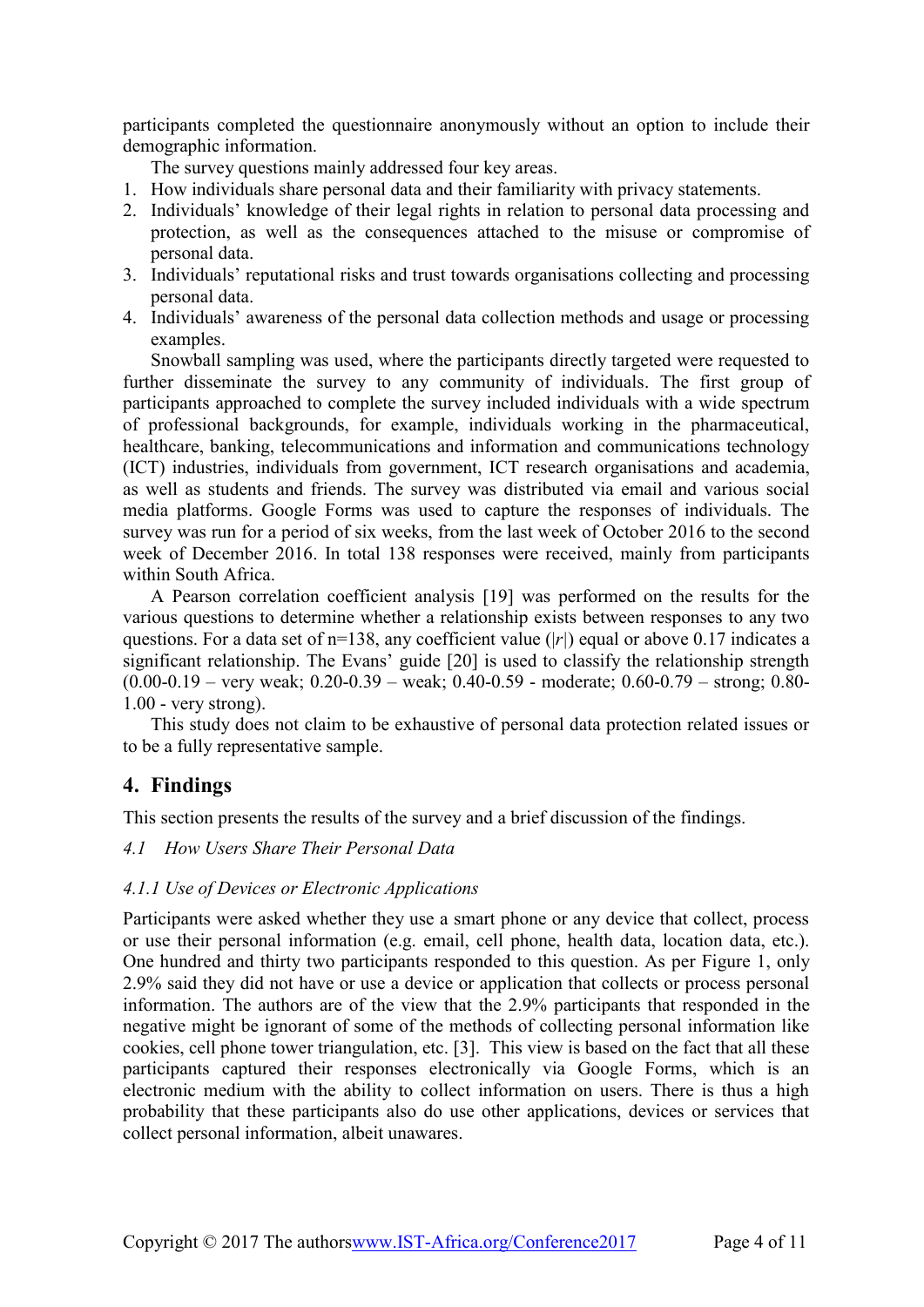participants completed the questionnaire anonymously without an option to include their demographic information.

The survey questions mainly addressed four key areas.

- 1. How individuals share personal data and their familiarity with privacy statements.
- 2. Individuals' knowledge of their legal rights in relation to personal data processing and protection, as well as the consequences attached to the misuse or compromise of personal data.
- 3. Individuals' reputational risks and trust towards organisations collecting and processing personal data.
- 4. Individuals' awareness of the personal data collection methods and usage or processing examples.

Snowball sampling was used, where the participants directly targeted were requested to further disseminate the survey to any community of individuals. The first group of participants approached to complete the survey included individuals with a wide spectrum of professional backgrounds, for example, individuals working in the pharmaceutical, healthcare, banking, telecommunications and information and communications technology (ICT) industries, individuals from government, ICT research organisations and academia, as well as students and friends. The survey was distributed via email and various social media platforms. Google Forms was used to capture the responses of individuals. The survey was run for a period of six weeks, from the last week of October 2016 to the second week of December 2016. In total 138 responses were received, mainly from participants within South Africa.

A Pearson correlation coefficient analysis [19] was performed on the results for the various questions to determine whether a relationship exists between responses to any two questions. For a data set of n=138, any coefficient value (|*r|*) equal or above 0.17 indicates a significant relationship. The Evans' guide [20] is used to classify the relationship strength  $(0.00-0.19 - \text{very weak}; 0.20-0.39 - \text{weak}; 0.40-0.59 - \text{moderate}; 0.60-0.79 - \text{strong}; 0.80-0.79)$ 1.00 - very strong).

This study does not claim to be exhaustive of personal data protection related issues or to be a fully representative sample.

## <span id="page-3-0"></span>**4. Findings**

This section presents the results of the survey and a brief discussion of the findings.

#### *4.1 How Users Share Their Personal Data*

#### *4.1.1 Use of Devices or Electronic Applications*

Participants were asked whether they use a smart phone or any device that collect, process or use their personal information (e.g. email, cell phone, health data, location data, etc.). One hundred and thirty two participants responded to this question. As per [Figure 1,](#page-4-0) only 2.9% said they did not have or use a device or application that collects or process personal information. The authors are of the view that the 2.9% participants that responded in the negative might be ignorant of some of the methods of collecting personal information like cookies, cell phone tower triangulation, etc. [3]. This view is based on the fact that all these participants captured their responses electronically via Google Forms, which is an electronic medium with the ability to collect information on users. There is thus a high probability that these participants also do use other applications, devices or services that collect personal information, albeit unawares.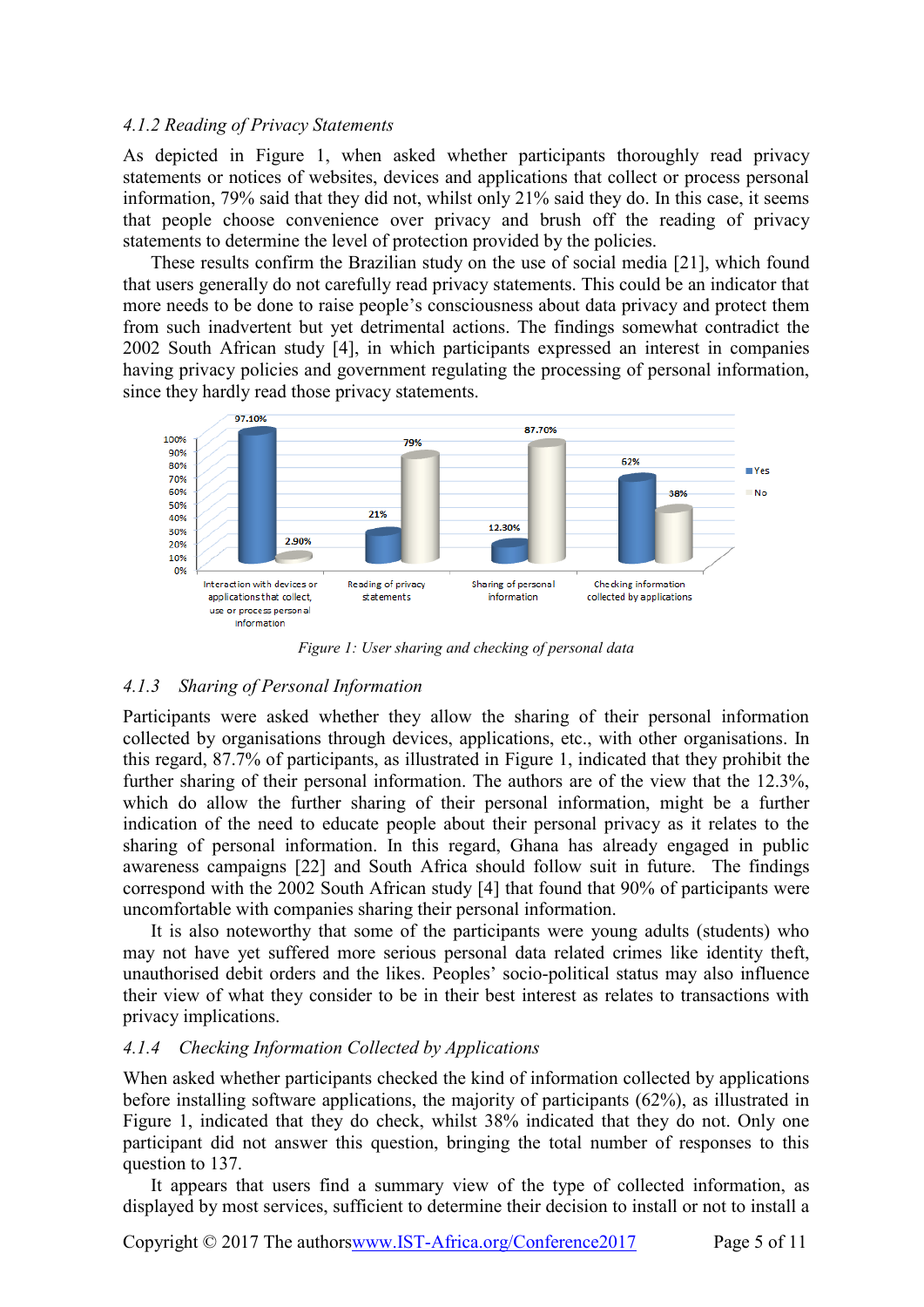#### <span id="page-4-1"></span>*4.1.2 Reading of Privacy Statements*

As depicted in [Figure 1,](#page-4-0) when asked whether participants thoroughly read privacy statements or notices of websites, devices and applications that collect or process personal information, 79% said that they did not, whilst only 21% said they do. In this case, it seems that people choose convenience over privacy and brush off the reading of privacy statements to determine the level of protection provided by the policies.

These results confirm the Brazilian study on the use of social media [21], which found that users generally do not carefully read privacy statements. This could be an indicator that more needs to be done to raise people's consciousness about data privacy and protect them from such inadvertent but yet detrimental actions. The findings somewhat contradict the 2002 South African study [4], in which participants expressed an interest in companies having privacy policies and government regulating the processing of personal information, since they hardly read those privacy statements.



*Figure 1: User sharing and checking of personal data*

## <span id="page-4-0"></span>*4.1.3 Sharing of Personal Information*

Participants were asked whether they allow the sharing of their personal information collected by organisations through devices, applications, etc., with other organisations. In this regard, 87.7% of participants, as illustrated in [Figure 1,](#page-4-0) indicated that they prohibit the further sharing of their personal information. The authors are of the view that the 12.3%, which do allow the further sharing of their personal information, might be a further indication of the need to educate people about their personal privacy as it relates to the sharing of personal information. In this regard, Ghana has already engaged in public awareness campaigns [22] and South Africa should follow suit in future. The findings correspond with the 2002 South African study [4] that found that 90% of participants were uncomfortable with companies sharing their personal information.

It is also noteworthy that some of the participants were young adults (students) who may not have yet suffered more serious personal data related crimes like identity theft, unauthorised debit orders and the likes. Peoples' socio-political status may also influence their view of what they consider to be in their best interest as relates to transactions with privacy implications.

## *4.1.4 Checking Information Collected by Applications*

When asked whether participants checked the kind of information collected by applications before installing software applications, the majority of participants (62%), as illustrated in [Figure 1,](#page-4-0) indicated that they do check, whilst 38% indicated that they do not. Only one participant did not answer this question, bringing the total number of responses to this question to 137.

It appears that users find a summary view of the type of collected information, as displayed by most services, sufficient to determine their decision to install or not to install a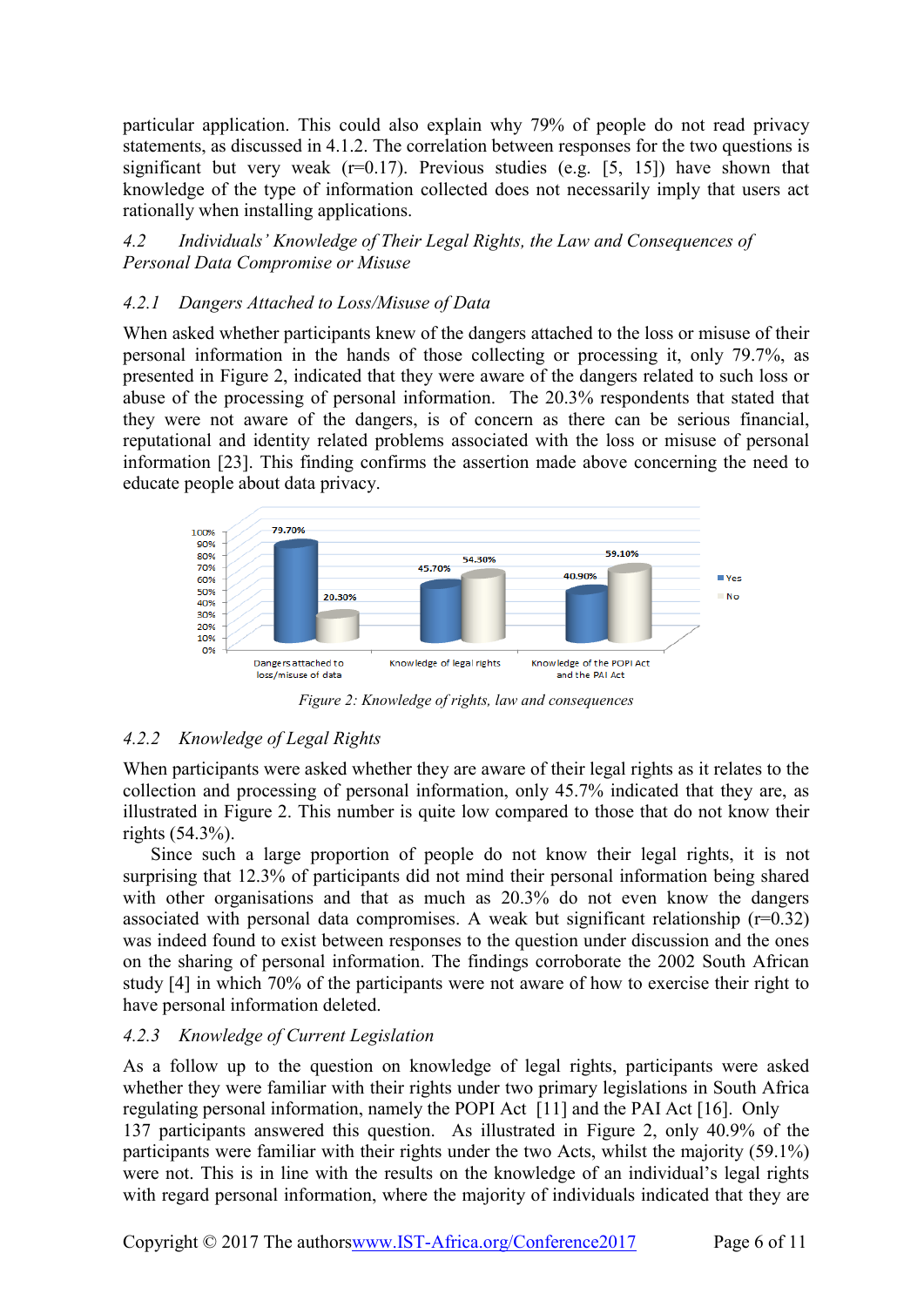particular application. This could also explain why 79% of people do not read privacy statements, as discussed in [4.1.2.](#page-4-1) The correlation between responses for the two questions is significant but very weak  $(r=0.17)$ . Previous studies (e.g. [5, 15]) have shown that knowledge of the type of information collected does not necessarily imply that users act rationally when installing applications.

*4.2 Individuals' Knowledge of Their Legal Rights, the Law and Consequences of Personal Data Compromise or Misuse*

## *4.2.1 Dangers Attached to Loss/Misuse of Data*

When asked whether participants knew of the dangers attached to the loss or misuse of their personal information in the hands of those collecting or processing it, only 79.7%, as presented in [Figure 2,](#page-5-0) indicated that they were aware of the dangers related to such loss or abuse of the processing of personal information. The 20.3% respondents that stated that they were not aware of the dangers, is of concern as there can be serious financial, reputational and identity related problems associated with the loss or misuse of personal information [23]. This finding confirms the assertion made above concerning the need to educate people about data privacy.



*Figure 2: Knowledge of rights, law and consequences*

## <span id="page-5-0"></span>*4.2.2 Knowledge of Legal Rights*

When participants were asked whether they are aware of their legal rights as it relates to the collection and processing of personal information, only 45.7% indicated that they are, as illustrated in [Figure 2.](#page-5-0) This number is quite low compared to those that do not know their rights (54.3%).

Since such a large proportion of people do not know their legal rights, it is not surprising that 12.3% of participants did not mind their personal information being shared with other organisations and that as much as 20.3% do not even know the dangers associated with personal data compromises. A weak but significant relationship  $(r=0.32)$ was indeed found to exist between responses to the question under discussion and the ones on the sharing of personal information. The findings corroborate the 2002 South African study [4] in which 70% of the participants were not aware of how to exercise their right to have personal information deleted.

## *4.2.3 Knowledge of Current Legislation*

As a follow up to the question on knowledge of legal rights, participants were asked whether they were familiar with their rights under two primary legislations in South Africa regulating personal information, namely the POPI Act [11] and the PAI Act [16]. Only 137 participants answered this question. As illustrated in [Figure 2,](#page-5-0) only 40.9% of the participants were familiar with their rights under the two Acts, whilst the majority (59.1%) were not. This is in line with the results on the knowledge of an individual's legal rights with regard personal information, where the majority of individuals indicated that they are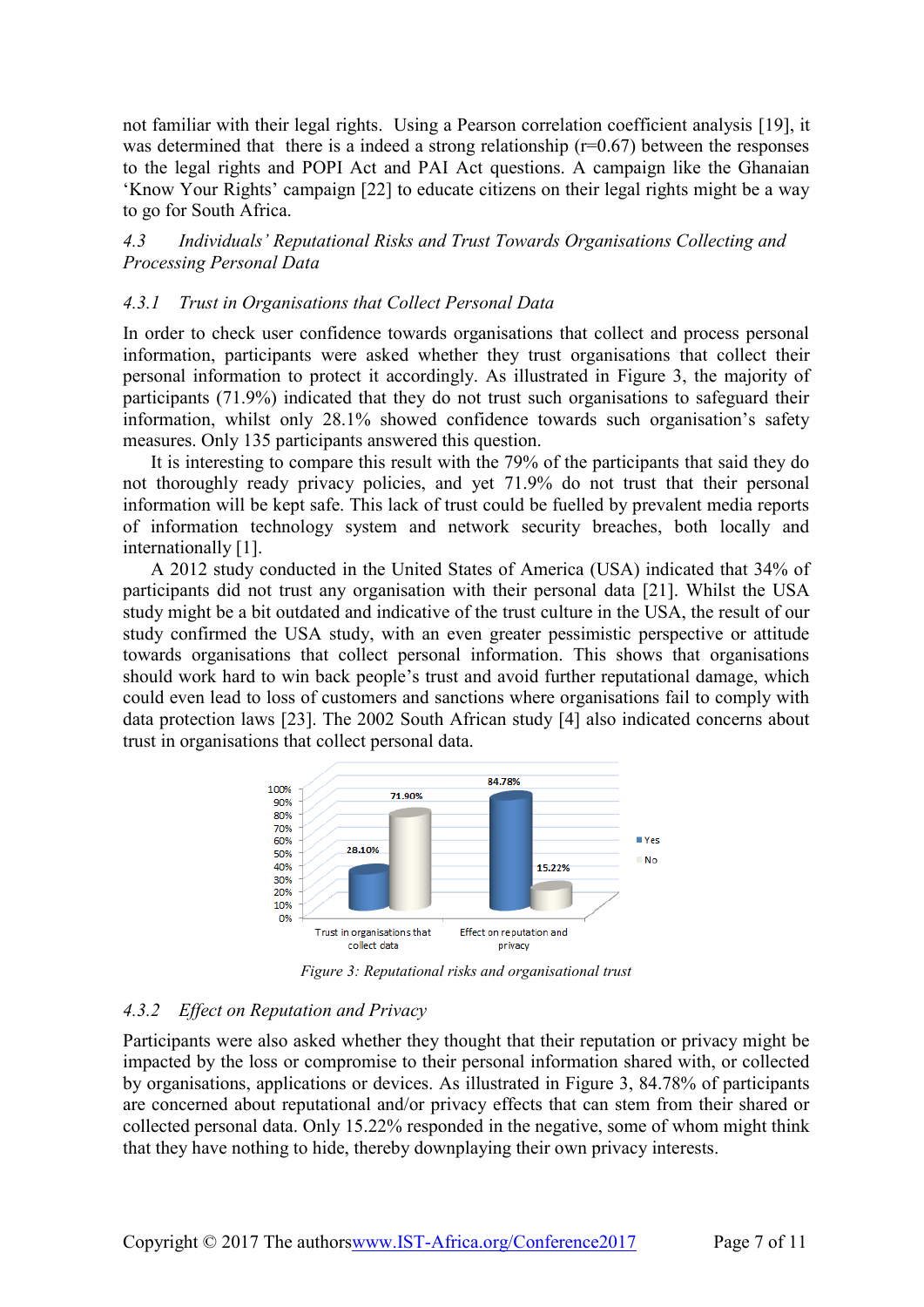not familiar with their legal rights. Using a Pearson correlation coefficient analysis [19], it was determined that there is a indeed a strong relationship  $(r=0.67)$  between the responses to the legal rights and POPI Act and PAI Act questions. A campaign like the Ghanaian 'Know Your Rights' campaign [22] to educate citizens on their legal rights might be a way to go for South Africa.

*4.3 Individuals' Reputational Risks and Trust Towards Organisations Collecting and Processing Personal Data*

#### *4.3.1 Trust in Organisations that Collect Personal Data*

In order to check user confidence towards organisations that collect and process personal information, participants were asked whether they trust organisations that collect their personal information to protect it accordingly. As illustrated in [Figure 3,](#page-6-0) the majority of participants (71.9%) indicated that they do not trust such organisations to safeguard their information, whilst only 28.1% showed confidence towards such organisation's safety measures. Only 135 participants answered this question.

It is interesting to compare this result with the 79% of the participants that said they do not thoroughly ready privacy policies, and yet 71.9% do not trust that their personal information will be kept safe. This lack of trust could be fuelled by prevalent media reports of information technology system and network security breaches, both locally and internationally [1].

A 2012 study conducted in the United States of America (USA) indicated that 34% of participants did not trust any organisation with their personal data [21]. Whilst the USA study might be a bit outdated and indicative of the trust culture in the USA, the result of our study confirmed the USA study, with an even greater pessimistic perspective or attitude towards organisations that collect personal information. This shows that organisations should work hard to win back people's trust and avoid further reputational damage, which could even lead to loss of customers and sanctions where organisations fail to comply with data protection laws [23]. The 2002 South African study [4] also indicated concerns about trust in organisations that collect personal data.



*Figure 3: Reputational risks and organisational trust*

## <span id="page-6-0"></span>*4.3.2 Effect on Reputation and Privacy*

Participants were also asked whether they thought that their reputation or privacy might be impacted by the loss or compromise to their personal information shared with, or collected by organisations, applications or devices. As illustrated in [Figure 3,](#page-6-0) 84.78% of participants are concerned about reputational and/or privacy effects that can stem from their shared or collected personal data. Only 15.22% responded in the negative, some of whom might think that they have nothing to hide, thereby downplaying their own privacy interests.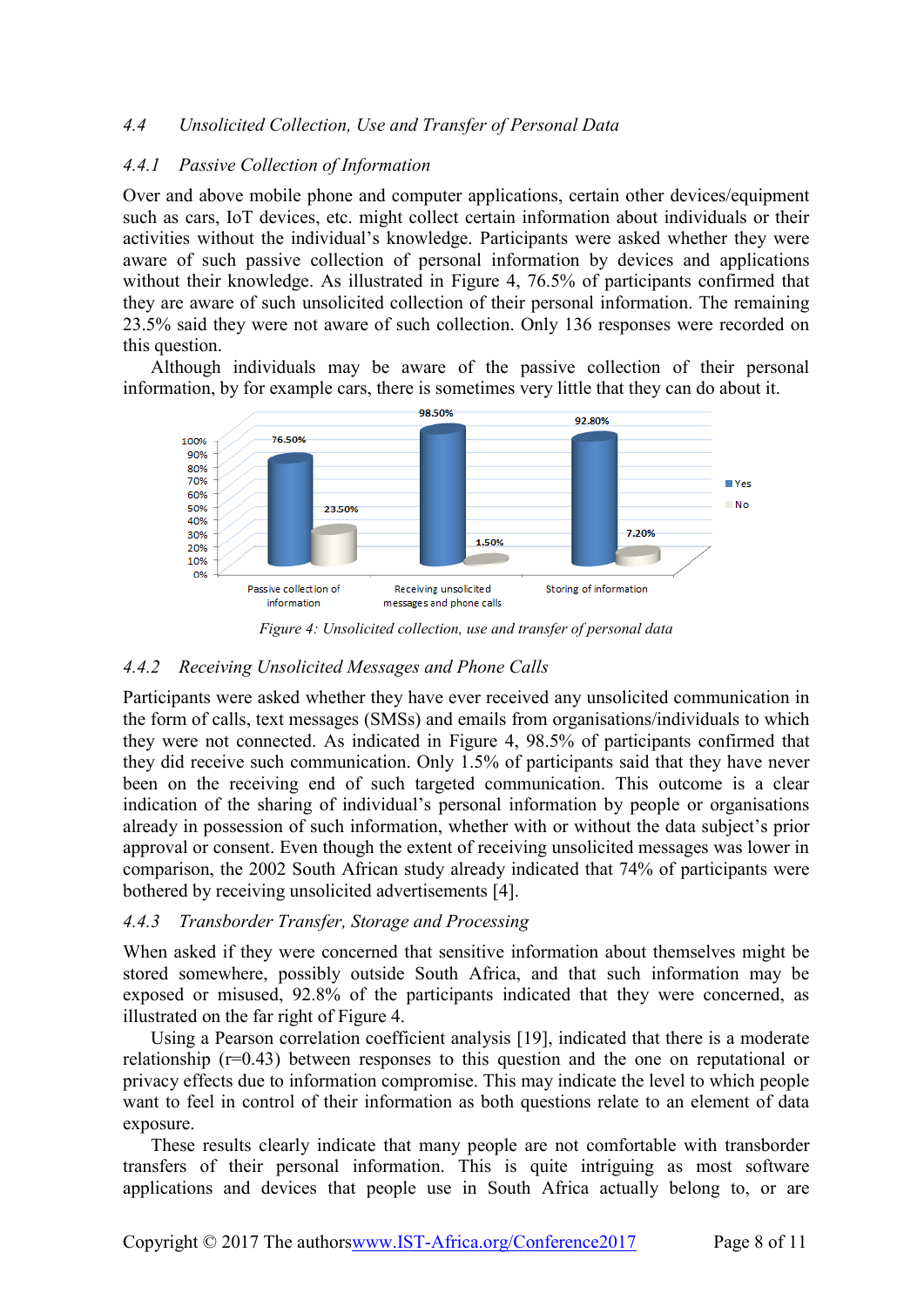## *4.4 Unsolicited Collection, Use and Transfer of Personal Data*

## *4.4.1 Passive Collection of Information*

Over and above mobile phone and computer applications, certain other devices/equipment such as cars, IoT devices, etc. might collect certain information about individuals or their activities without the individual's knowledge. Participants were asked whether they were aware of such passive collection of personal information by devices and applications without their knowledge. As illustrated in [Figure 4,](#page-7-0) 76.5% of participants confirmed that they are aware of such unsolicited collection of their personal information. The remaining 23.5% said they were not aware of such collection. Only 136 responses were recorded on this question.

Although individuals may be aware of the passive collection of their personal information, by for example cars, there is sometimes very little that they can do about it.



*Figure 4: Unsolicited collection, use and transfer of personal data*

## <span id="page-7-0"></span>*4.4.2 Receiving Unsolicited Messages and Phone Calls*

Participants were asked whether they have ever received any unsolicited communication in the form of calls, text messages (SMSs) and emails from organisations/individuals to which they were not connected. As indicated in [Figure 4,](#page-7-0) 98.5% of participants confirmed that they did receive such communication. Only 1.5% of participants said that they have never been on the receiving end of such targeted communication. This outcome is a clear indication of the sharing of individual's personal information by people or organisations already in possession of such information, whether with or without the data subject's prior approval or consent. Even though the extent of receiving unsolicited messages was lower in comparison, the 2002 South African study already indicated that 74% of participants were bothered by receiving unsolicited advertisements [4].

## *4.4.3 Transborder Transfer, Storage and Processing*

When asked if they were concerned that sensitive information about themselves might be stored somewhere, possibly outside South Africa, and that such information may be exposed or misused, 92.8% of the participants indicated that they were concerned, as illustrated on the far right of [Figure 4.](#page-7-0)

Using a Pearson correlation coefficient analysis [19], indicated that there is a moderate relationship (r=0.43) between responses to this question and the one on reputational or privacy effects due to information compromise. This may indicate the level to which people want to feel in control of their information as both questions relate to an element of data exposure.

These results clearly indicate that many people are not comfortable with transborder transfers of their personal information. This is quite intriguing as most software applications and devices that people use in South Africa actually belong to, or are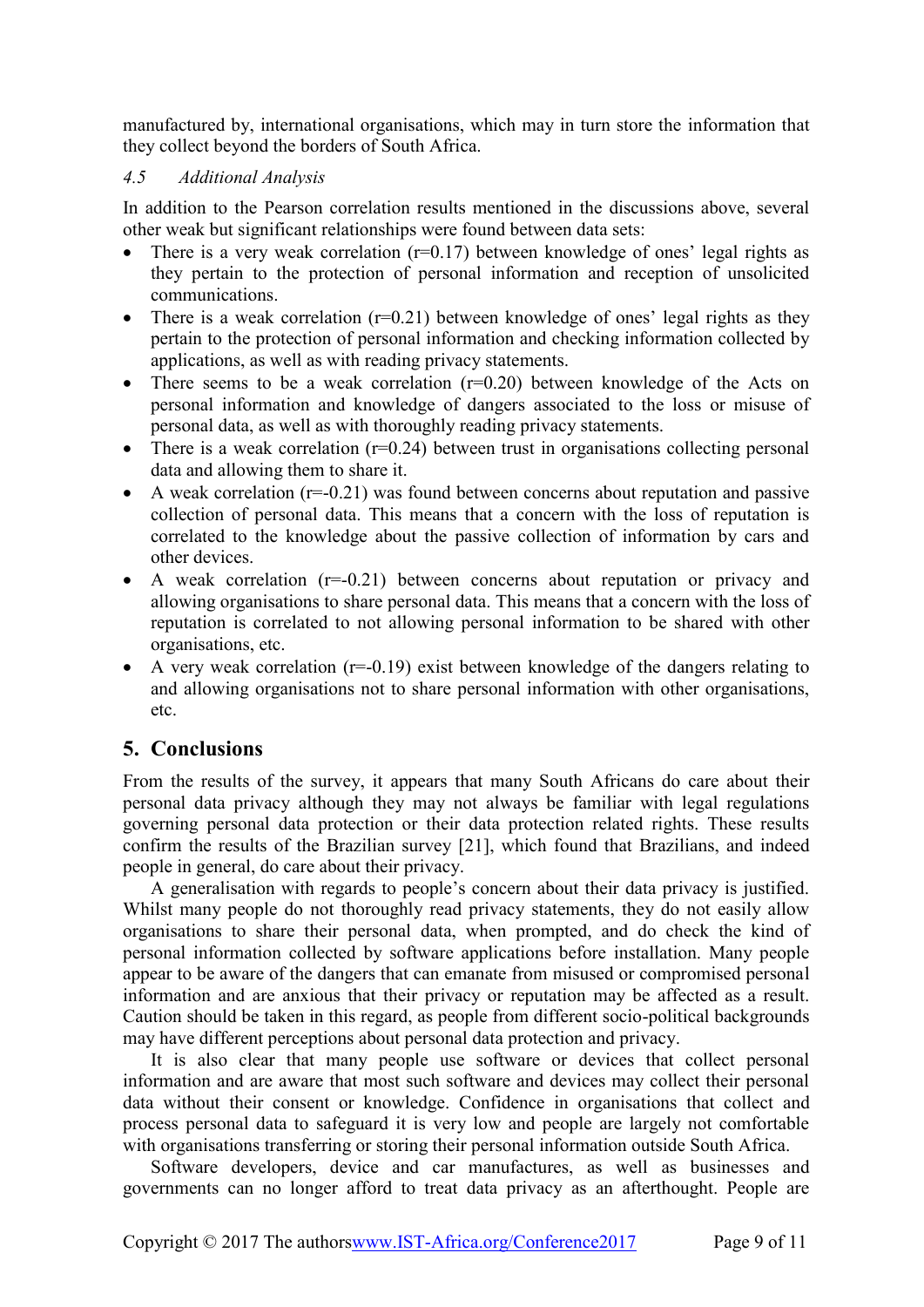manufactured by, international organisations, which may in turn store the information that they collect beyond the borders of South Africa.

## *4.5 Additional Analysis*

In addition to the Pearson correlation results mentioned in the discussions above, several other weak but significant relationships were found between data sets:

- There is a very weak correlation  $(r=0.17)$  between knowledge of ones' legal rights as they pertain to the protection of personal information and reception of unsolicited communications.
- There is a weak correlation  $(r=0.21)$  between knowledge of ones' legal rights as they pertain to the protection of personal information and checking information collected by applications, as well as with reading privacy statements.
- There seems to be a weak correlation  $(r=0.20)$  between knowledge of the Acts on personal information and knowledge of dangers associated to the loss or misuse of personal data, as well as with thoroughly reading privacy statements.
- There is a weak correlation  $(r=0.24)$  between trust in organisations collecting personal data and allowing them to share it.
- A weak correlation  $(r=0.21)$  was found between concerns about reputation and passive collection of personal data. This means that a concern with the loss of reputation is correlated to the knowledge about the passive collection of information by cars and other devices.
- A weak correlation (r=-0.21) between concerns about reputation or privacy and allowing organisations to share personal data. This means that a concern with the loss of reputation is correlated to not allowing personal information to be shared with other organisations, etc.
- A very weak correlation  $(r=0.19)$  exist between knowledge of the dangers relating to and allowing organisations not to share personal information with other organisations, etc.

# <span id="page-8-0"></span>**5. Conclusions**

From the results of the survey, it appears that many South Africans do care about their personal data privacy although they may not always be familiar with legal regulations governing personal data protection or their data protection related rights. These results confirm the results of the Brazilian survey [21], which found that Brazilians, and indeed people in general, do care about their privacy.

A generalisation with regards to people's concern about their data privacy is justified. Whilst many people do not thoroughly read privacy statements, they do not easily allow organisations to share their personal data, when prompted, and do check the kind of personal information collected by software applications before installation. Many people appear to be aware of the dangers that can emanate from misused or compromised personal information and are anxious that their privacy or reputation may be affected as a result. Caution should be taken in this regard, as people from different socio-political backgrounds may have different perceptions about personal data protection and privacy.

It is also clear that many people use software or devices that collect personal information and are aware that most such software and devices may collect their personal data without their consent or knowledge. Confidence in organisations that collect and process personal data to safeguard it is very low and people are largely not comfortable with organisations transferring or storing their personal information outside South Africa.

Software developers, device and car manufactures, as well as businesses and governments can no longer afford to treat data privacy as an afterthought. People are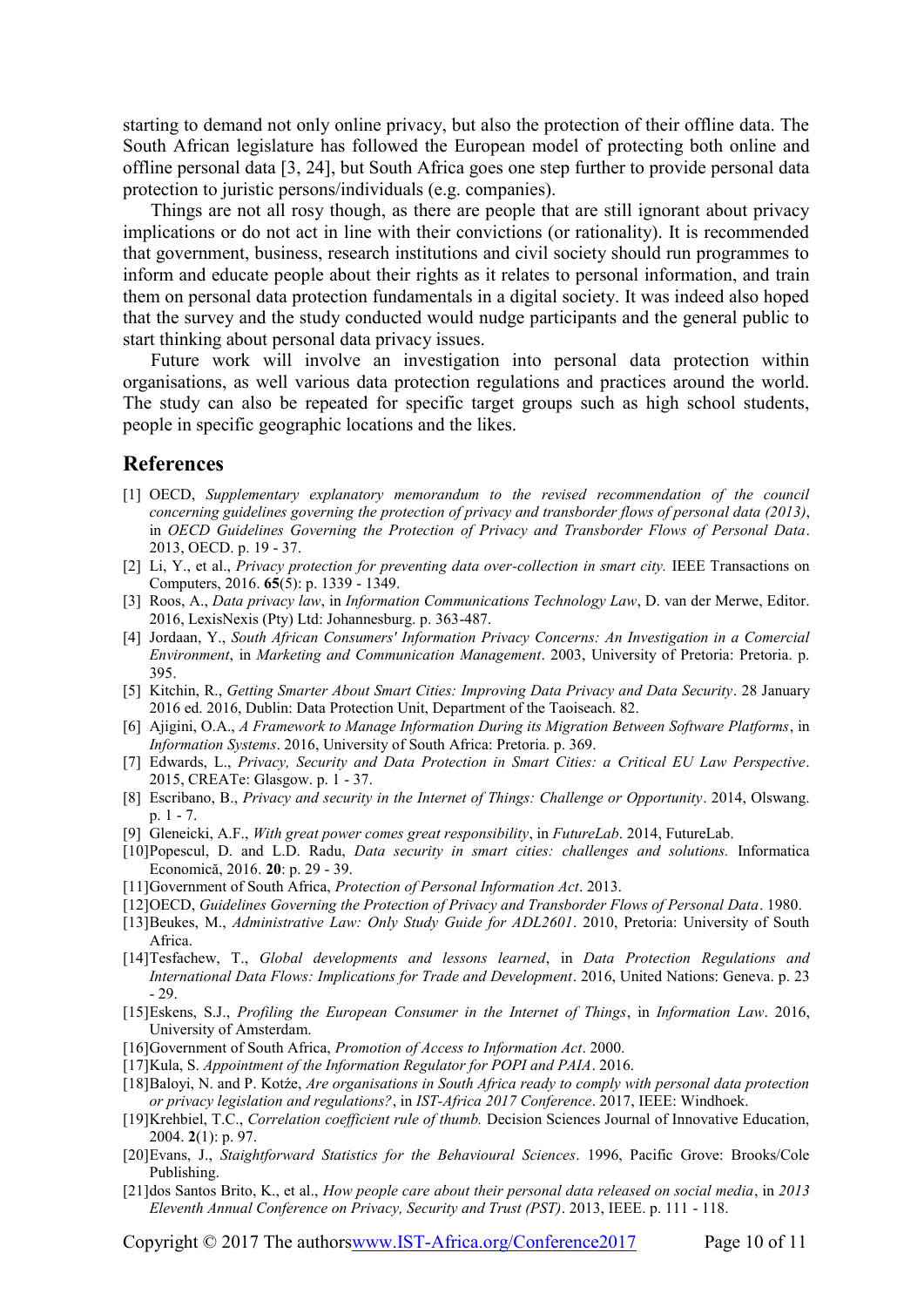starting to demand not only online privacy, but also the protection of their offline data. The South African legislature has followed the European model of protecting both online and offline personal data [3, 24], but South Africa goes one step further to provide personal data protection to juristic persons/individuals (e.g. companies).

Things are not all rosy though, as there are people that are still ignorant about privacy implications or do not act in line with their convictions (or rationality). It is recommended that government, business, research institutions and civil society should run programmes to inform and educate people about their rights as it relates to personal information, and train them on personal data protection fundamentals in a digital society. It was indeed also hoped that the survey and the study conducted would nudge participants and the general public to start thinking about personal data privacy issues.

Future work will involve an investigation into personal data protection within organisations, as well various data protection regulations and practices around the world. The study can also be repeated for specific target groups such as high school students, people in specific geographic locations and the likes.

## **References**

- [1] OECD, *Supplementary explanatory memorandum to the revised recommendation of the council concerning guidelines governing the protection of privacy and transborder flows of personal data (2013)*, in *OECD Guidelines Governing the Protection of Privacy and Transborder Flows of Personal Data*. 2013, OECD. p. 19 - 37.
- [2] Li, Y., et al., *Privacy protection for preventing data over-collection in smart city.* IEEE Transactions on Computers, 2016. **65**(5): p. 1339 - 1349.
- [3] Roos, A., *Data privacy law*, in *Information Communications Technology Law*, D. van der Merwe, Editor. 2016, LexisNexis (Pty) Ltd: Johannesburg. p. 363-487.
- [4] Jordaan, Y., *South African Consumers' Information Privacy Concerns: An Investigation in a Comercial Environment*, in *Marketing and Communication Management*. 2003, University of Pretoria: Pretoria. p. 395.
- [5] Kitchin, R., *Getting Smarter About Smart Cities: Improving Data Privacy and Data Security*. 28 January 2016 ed. 2016, Dublin: Data Protection Unit, Department of the Taoiseach. 82.
- [6] Ajigini, O.A., *A Framework to Manage Information During its Migration Between Software Platforms*, in *Information Systems*. 2016, University of South Africa: Pretoria. p. 369.
- [7] Edwards, L., *Privacy, Security and Data Protection in Smart Cities: a Critical EU Law Perspective*. 2015, CREATe: Glasgow. p. 1 - 37.
- [8] Escribano, B., *Privacy and security in the Internet of Things: Challenge or Opportunity*. 2014, Olswang. p. 1 - 7.
- [9] Gleneicki, A.F., *With great power comes great responsibility*, in *FutureLab*. 2014, FutureLab.
- [10]Popescul, D. and L.D. Radu, *Data security in smart cities: challenges and solutions.* Informatica Economică, 2016. **20**: p. 29 - 39.
- [11]Government of South Africa, *Protection of Personal Information Act*. 2013.
- [12]OECD, *Guidelines Governing the Protection of Privacy and Transborder Flows of Personal Data*. 1980.
- [13]Beukes, M., *Administrative Law: Only Study Guide for ADL2601*. 2010, Pretoria: University of South Africa.
- [14]Tesfachew, T., *Global developments and lessons learned*, in *Data Protection Regulations and International Data Flows: Implications for Trade and Development*. 2016, United Nations: Geneva. p. 23 - 29.
- [15]Eskens, S.J., *Profiling the European Consumer in the Internet of Things*, in *Information Law*. 2016, University of Amsterdam.
- [16]Government of South Africa, *Promotion of Access to Information Act*. 2000.
- [17]Kula, S. *Appointment of the Information Regulator for POPI and PAIA*. 2016.
- [18]Baloyi, N. and P. Kotźe, *Are organisations in South Africa ready to comply with personal data protection or privacy legislation and regulations?*, in *IST-Africa 2017 Conference*. 2017, IEEE: Windhoek.
- [19]Krehbiel, T.C., *Correlation coefficient rule of thumb.* Decision Sciences Journal of Innovative Education, 2004. **2**(1): p. 97.
- [20]Evans, J., *Staightforward Statistics for the Behavioural Sciences*. 1996, Pacific Grove: Brooks/Cole Publishing.
- [21]dos Santos Brito, K., et al., *How people care about their personal data released on social media*, in *2013 Eleventh Annual Conference on Privacy, Security and Trust (PST)*. 2013, IEEE. p. 111 - 118.

Copyright © 2017 The author[swww.IST-Africa.org/Conference2017](http://www.ist-africa.org/Conference2017/) Page 10 of 11